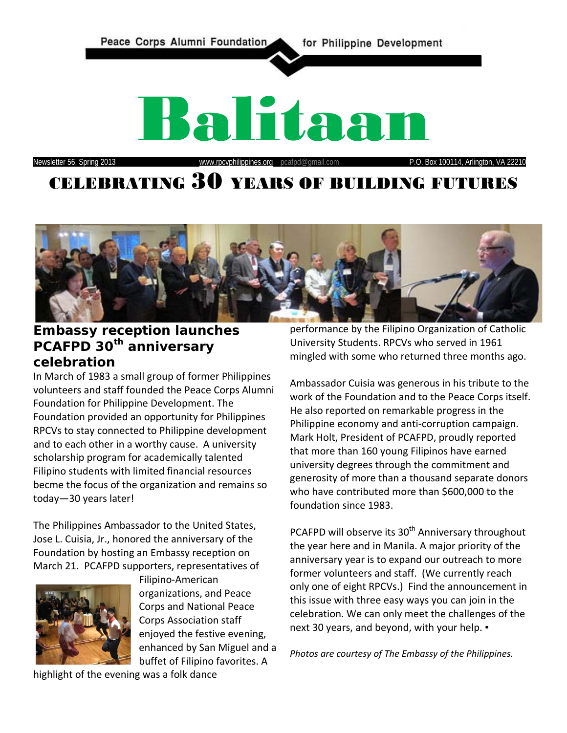



# **Embassy reception launches PCAFPD 30th anniversary celebration**

In March of 1983 a small group of former Philippines volunteers and staff founded the Peace Corps Alumni Foundation for Philippine Development. The Foundation provided an opportunity for Philippines RPCVs to stay connected to Philippine development and to each other in a worthy cause. A university scholarship program for academically talented Filipino students with limited financial resources becme the focus of the organization and remains so today—30 years later!

The Philippines Ambassador to the United States, Jose L. Cuisia, Jr., honored the anniversary of the Foundation by hosting an Embassy reception on March 21. PCAFPD supporters, representatives of



Filipino-American organizations, and Peace Corps and National Peace Corps Association staff enjoyed the festive evening, enhanced by San Miguel and a buffet of Filipino favorites. A

performance by the Filipino Organization of Catholic University Students. RPCVs who served in 1961 mingled with some who returned three months ago.

Ambassador Cuisia was generous in his tribute to the work of the Foundation and to the Peace Corps itself. He also reported on remarkable progress in the Philippine economy and anti-corruption campaign. Mark Holt, President of PCAFPD, proudly reported that more than 160 young Filipinos have earned university degrees through the commitment and generosity of more than a thousand separate donors who have contributed more than \$600,000 to the foundation since 1983.

PCAFPD will observe its 30<sup>th</sup> Anniversary throughout the year here and in Manila. A major priority of the anniversary year is to expand our outreach to more former volunteers and staff. (We currently reach only one of eight RPCVs.) Find the announcement in this issue with three easy ways you can join in the celebration. We can only meet the challenges of the next 30 years, and beyond, with your help. •

*Photos are courtesy of The Embassy of the Philippines.*

highlight of the evening was a folk dance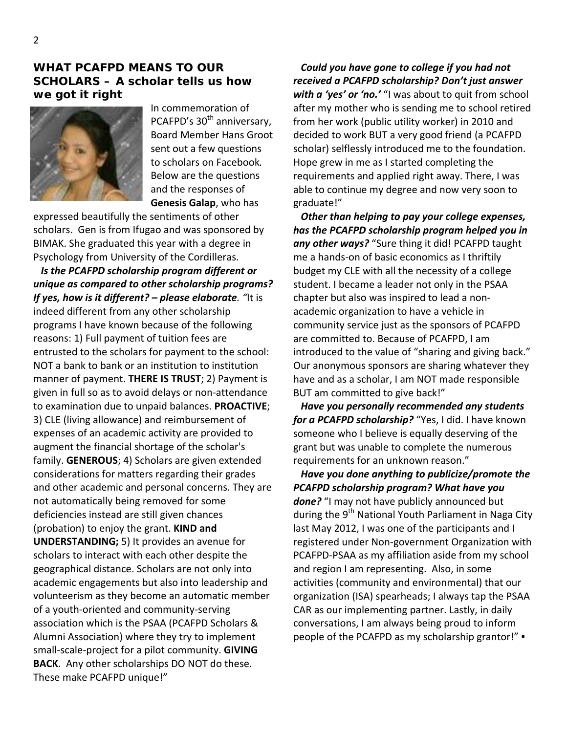#### **WHAT PCAFPD MEANS TO OUR SCHOLARS – A scholar tells us how we got it right**



In commemoration of PCAFPD's 30<sup>th</sup> anniversary, Board Member Hans Groot sent out a few questions to scholars on Facebook*.*  Below are the questions and the responses of **Genesis Galap**, who has

expressed beautifully the sentiments of other scholars. Gen is from Ifugao and was sponsored by BIMAK. She graduated this year with a degree in Psychology from University of the Cordilleras.

 *Is the PCAFPD scholarship program different or unique as compared to other scholarship programs? If yes, how is it different? – please elaborate. "*It is indeed different from any other scholarship programs I have known because of the following reasons: 1) Full payment of tuition fees are entrusted to the scholars for payment to the school: NOT a bank to bank or an institution to institution manner of payment. **THERE IS TRUST**; 2) Payment is given in full so as to avoid delays or non-attendance to examination due to unpaid balances. **PROACTIVE**; 3) CLE (living allowance) and reimbursement of expenses of an academic activity are provided to augment the financial shortage of the scholar's family. **GENEROUS**; 4) Scholars are given extended considerations for matters regarding their grades and other academic and personal concerns. They are not automatically being removed for some deficiencies instead are still given chances (probation) to enjoy the grant. **KIND and UNDERSTANDING;** 5) It provides an avenue for scholars to interact with each other despite the geographical distance. Scholars are not only into academic engagements but also into leadership and volunteerism as they become an automatic member of a youth-oriented and community-serving association which is the PSAA (PCAFPD Scholars & Alumni Association) where they try to implement small-scale-project for a pilot community. **GIVING BACK**. Any other scholarships DO NOT do these. These make PCAFPD unique!"

 *Could you have gone to college if you had not received a PCAFPD scholarship? Don't just answer with a 'yes' or 'no.'* "I was about to quit from school after my mother who is sending me to school retired from her work (public utility worker) in 2010 and decided to work BUT a very good friend (a PCAFPD scholar) selflessly introduced me to the foundation. Hope grew in me as I started completing the requirements and applied right away. There, I was able to continue my degree and now very soon to graduate!"

 *Other than helping to pay your college expenses, has the PCAFPD scholarship program helped you in any other ways?* "Sure thing it did! PCAFPD taught me a hands-on of basic economics as I thriftily budget my CLE with all the necessity of a college student. I became a leader not only in the PSAA chapter but also was inspired to lead a nonacademic organization to have a vehicle in community service just as the sponsors of PCAFPD are committed to. Because of PCAFPD, I am introduced to the value of "sharing and giving back." Our anonymous sponsors are sharing whatever they have and as a scholar, I am NOT made responsible BUT am committed to give back!"

 *Have you personally recommended any students*  for a PCAFPD scholarship? "Yes, I did. I have known someone who I believe is equally deserving of the grant but was unable to complete the numerous requirements for an unknown reason."

 *Have you done anything to publicize/promote the PCAFPD scholarship program? What have you done?* "I may not have publicly announced but during the 9<sup>th</sup> National Youth Parliament in Naga City last May 2012, I was one of the participants and I registered under Non-government Organization with PCAFPD-PSAA as my affiliation aside from my school and region I am representing. Also, in some activities (community and environmental) that our organization (ISA) spearheads; I always tap the PSAA CAR as our implementing partner. Lastly, in daily conversations, I am always being proud to inform people of the PCAFPD as my scholarship grantor!" ▪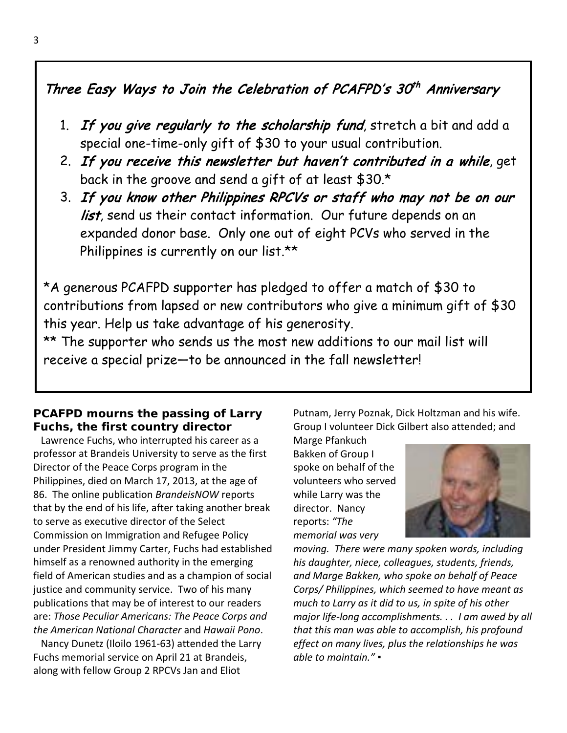# Three Easy Ways to Join the Celebration of PCAFPD's  $30<sup>th</sup>$  Anniversary

- 1. If you give regularly to the scholarship fund, stretch a bit and add a special one-time-only gift of \$30 to your usual contribution.
- 2. If you receive this newsletter but haven't contributed in a while, get back in the groove and send a gift of at least \$30.\*
- 3. If you know other Philippines RPCVs or staff who may not be on our list, send us their contact information. Our future depends on an expanded donor base. Only one out of eight PCVs who served in the Philippines is currently on our list.\*\*

\*A generous PCAFPD supporter has pledged to offer a match of \$30 to contributions from lapsed or new contributors who give a minimum gift of \$30 this year. Help us take advantage of his generosity.

\*\* The supporter who sends us the most new additions to our mail list will receive a special prize—to be announced in the fall newsletter!

# **PCAFPD mourns the passing of Larry Fuchs, the first country director**

 Lawrence Fuchs, who interrupted his career as a professor at Brandeis University to serve as the first Director of the Peace Corps program in the Philippines, died on March 17, 2013, at the age of 86. The online publication *BrandeisNOW* reports that by the end of his life, after taking another break to serve as executive director of the Select Commission on Immigration and Refugee Policy under President Jimmy Carter, Fuchs had established himself as a renowned authority in the emerging field of American studies and as a champion of social justice and community service. Two of his many publications that may be of interest to our readers are: *Those Peculiar Americans: The Peace Corps and the American National Character* and *Hawaii Pono*.

 Nancy Dunetz (Iloilo 1961-63) attended the Larry Fuchs memorial service on April 21 at Brandeis, along with fellow Group 2 RPCVs Jan and Eliot

Putnam, Jerry Poznak, Dick Holtzman and his wife. Group I volunteer Dick Gilbert also attended; and

Marge Pfankuch Bakken of Group I spoke on behalf of the volunteers who served while Larry was the director. Nancy reports: *"The memorial was very* 



*moving. There were many spoken words, including his daughter, niece, colleagues, students, friends, and Marge Bakken, who spoke on behalf of Peace Corps/ Philippines, which seemed to have meant as much to Larry as it did to us, in spite of his other major life-long accomplishments. . . I am awed by all that this man was able to accomplish, his profound effect on many lives, plus the relationships he was able to maintain."* ▪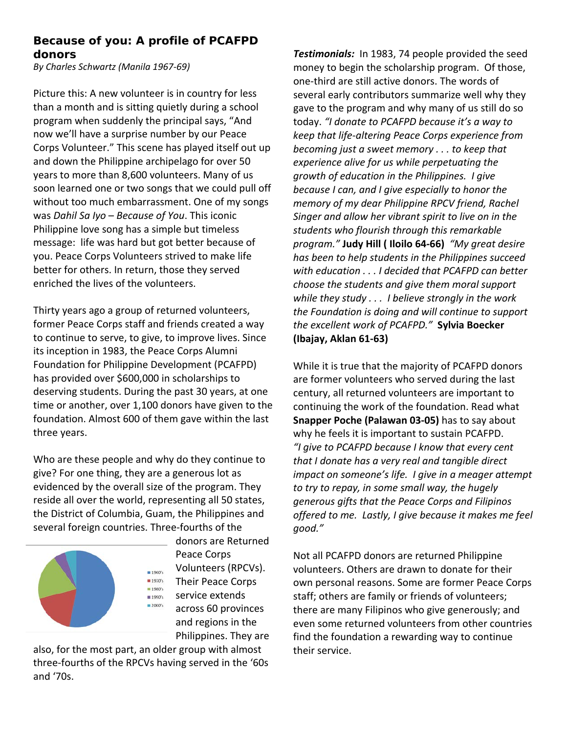## *Because of you***: A profile of PCAFPD donors**

*By Charles Schwartz (Manila 1967-69)*

Picture this: A new volunteer is in country for less than a month and is sitting quietly during a school program when suddenly the principal says, "And now we'll have a surprise number by our Peace Corps Volunteer." This scene has played itself out up and down the Philippine archipelago for over 50 years to more than 8,600 volunteers. Many of us soon learned one or two songs that we could pull off without too much embarrassment. One of my songs was *Dahil Sa Iyo* – *Because of You*. This iconic Philippine love song has a simple but timeless message: life was hard but got better because of you. Peace Corps Volunteers strived to make life better for others. In return, those they served enriched the lives of the volunteers.

Thirty years ago a group of returned volunteers, former Peace Corps staff and friends created a way to continue to serve, to give, to improve lives. Since its inception in 1983, the Peace Corps Alumni Foundation for Philippine Development (PCAFPD) has provided over \$600,000 in scholarships to deserving students. During the past 30 years, at one time or another, over 1,100 donors have given to the foundation. Almost 600 of them gave within the last three years.

Who are these people and why do they continue to give? For one thing, they are a generous lot as evidenced by the overall size of the program. They reside all over the world, representing all 50 states, the District of Columbia, Guam, the Philippines and several foreign countries. Three-fourths of the



donors are Returned Peace Corps Volunteers (RPCVs). Their Peace Corps service extends across 60 provinces and regions in the Philippines. They are

also, for the most part, an older group with almost three-fourths of the RPCVs having served in the '60s and '70s.

*Testimonials:* In 1983, 74 people provided the seed money to begin the scholarship program. Of those, one-third are still active donors. The words of several early contributors summarize well why they gave to the program and why many of us still do so today. *"I donate to PCAFPD because it's a way to keep that life-altering Peace Corps experience from becoming just a sweet memory . . . to keep that experience alive for us while perpetuating the growth of education in the Philippines. I give because I can, and I give especially to honor the memory of my dear Philippine RPCV friend, Rachel Singer and allow her vibrant spirit to live on in the students who flourish through this remarkable program."* **Judy Hill ( Iloilo 64-66)** *"My great desire has been to help students in the Philippines succeed with education . . . I decided that PCAFPD can better choose the students and give them moral support while they study . . . I believe strongly in the work the Foundation is doing and will continue to support the excellent work of PCAFPD."* **Sylvia Boecker (Ibajay, Aklan 61-63)**

While it is true that the majority of PCAFPD donors are former volunteers who served during the last century, all returned volunteers are important to continuing the work of the foundation. Read what **Snapper Poche (Palawan 03-05)** has to say about why he feels it is important to sustain PCAFPD. *"I give to PCAFPD because I know that every cent that I donate has a very real and tangible direct impact on someone's life. I give in a meager attempt to try to repay, in some small way, the hugely generous gifts that the Peace Corps and Filipinos offered to me. Lastly, I give because it makes me feel good."*

Not all PCAFPD donors are returned Philippine volunteers. Others are drawn to donate for their own personal reasons. Some are former Peace Corps staff; others are family or friends of volunteers; there are many Filipinos who give generously; and even some returned volunteers from other countries find the foundation a rewarding way to continue their service.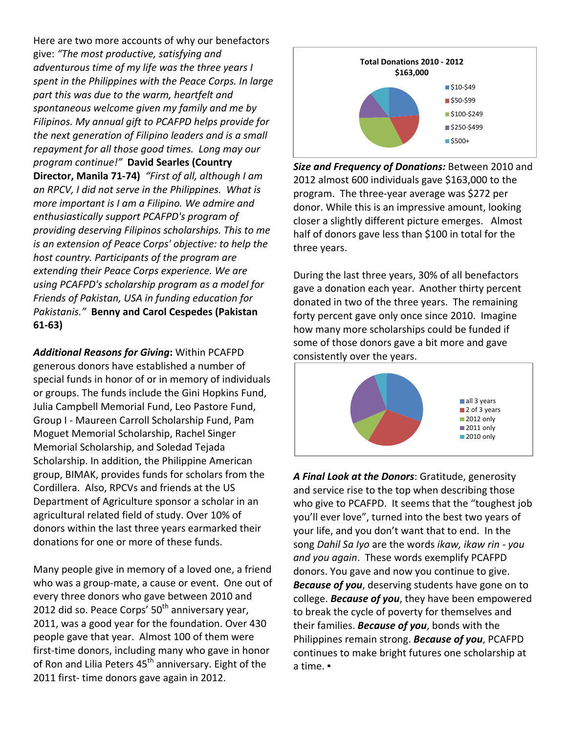Here are two more accounts of why our benefactors give: *"The most productive, satisfying and adventurous time of my life was the three years I spent in the Philippines with the Peace Corps. In large part this was due to the warm, heartfelt and spontaneous welcome given my family and me by Filipinos. My annual gift to PCAFPD helps provide for the next generation of Filipino leaders and is a small repayment for all those good times. Long may our program continue!"* **David Searles (Country Director, Manila 71-74)** *"First of all, although I am an RPCV, I did not serve in the Philippines. What is more important is I am a Filipino. We admire and enthusiastically support PCAFPD's program of providing deserving Filipinos scholarships. This to me is an extension of Peace Corps' objective: to help the host country. Participants of the program are extending their Peace Corps experience. We are using PCAFPD's scholarship program as a model for Friends of Pakistan, USA in funding education for Pakistanis."* **Benny and Carol Cespedes (Pakistan 61-63)**

*Additional Reasons for Giving***:** Within PCAFPD generous donors have established a number of special funds in honor of or in memory of individuals or groups. The funds include the Gini Hopkins Fund, Julia Campbell Memorial Fund, Leo Pastore Fund, Group I - Maureen Carroll Scholarship Fund, Pam Moguet Memorial Scholarship, Rachel Singer Memorial Scholarship, and Soledad Tejada Scholarship. In addition, the Philippine American group, BIMAK, provides funds for scholars from the Cordillera. Also, RPCVs and friends at the US Department of Agriculture sponsor a scholar in an agricultural related field of study. Over 10% of donors within the last three years earmarked their donations for one or more of these funds.

Many people give in memory of a loved one, a friend who was a group-mate, a cause or event. One out of every three donors who gave between 2010 and 2012 did so. Peace Corps'  $50<sup>th</sup>$  anniversary year, 2011, was a good year for the foundation. Over 430 people gave that year. Almost 100 of them were first-time donors, including many who gave in honor of Ron and Lilia Peters  $45<sup>th</sup>$  anniversary. Eight of the 2011 first- time donors gave again in 2012.



*Size and Frequency of Donations:* Between 2010 and 2012 almost 600 individuals gave \$163,000 to the program. The three-year average was \$272 per donor. While this is an impressive amount, looking closer a slightly different picture emerges. Almost half of donors gave less than \$100 in total for the three years.

During the last three years, 30% of all benefactors gave a donation each year. Another thirty percent donated in two of the three years. The remaining forty percent gave only once since 2010. Imagine how many more scholarships could be funded if some of those donors gave a bit more and gave consistently over the years.



*A Final Look at the Donors*: Gratitude, generosity and service rise to the top when describing those who give to PCAFPD. It seems that the "toughest job you'll ever love", turned into the best two years of your life, and you don't want that to end. In the song *Dahil Sa Iyo* are the words *ikaw, ikaw rin - you and you again*. These words exemplify PCAFPD donors. You gave and now you continue to give. *Because of you*, deserving students have gone on to college. *Because of you*, they have been empowered to break the cycle of poverty for themselves and their families. *Because of you*, bonds with the Philippines remain strong. *Because of you*, PCAFPD continues to make bright futures one scholarship at a time. ▪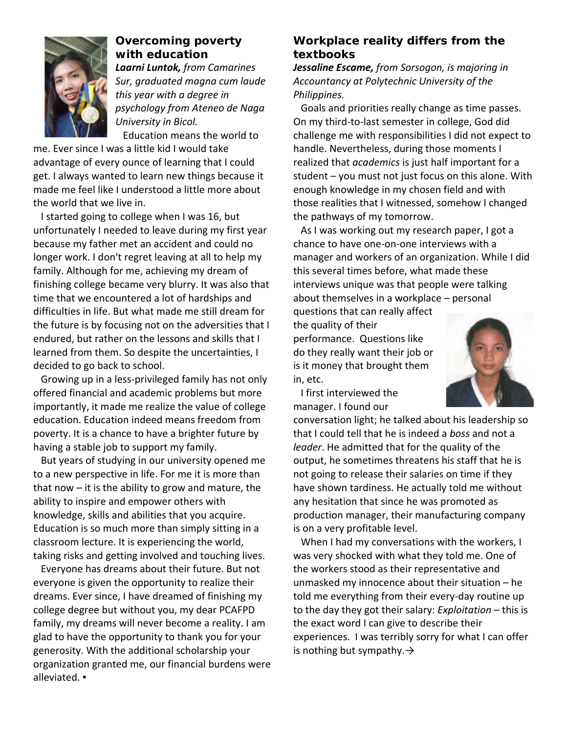

## **Overcoming poverty with education**

*Laarni Luntok, from Camarines Sur, graduated magna cum laude this year with a degree in psychology from Ateneo de Naga University in Bicol.* Education means the world to

me. Ever since I was a little kid I would take advantage of every ounce of learning that I could get. I always wanted to learn new things because it made me feel like I understood a little more about the world that we live in.

 I started going to college when I was 16, but unfortunately I needed to leave during my first year because my father met an accident and could no longer work. I don't regret leaving at all to help my family. Although for me, achieving my dream of finishing college became very blurry. It was also that time that we encountered a lot of hardships and difficulties in life. But what made me still dream for the future is by focusing not on the adversities that I endured, but rather on the lessons and skills that I learned from them. So despite the uncertainties, I decided to go back to school.

 Growing up in a less-privileged family has not only offered financial and academic problems but more importantly, it made me realize the value of college education. Education indeed means freedom from poverty. It is a chance to have a brighter future by having a stable job to support my family.

 But years of studying in our university opened me to a new perspective in life. For me it is more than that now – it is the ability to grow and mature, the ability to inspire and empower others with knowledge, skills and abilities that you acquire. Education is so much more than simply sitting in a classroom lecture. It is experiencing the world, taking risks and getting involved and touching lives.

 Everyone has dreams about their future. But not everyone is given the opportunity to realize their dreams. Ever since, I have dreamed of finishing my college degree but without you, my dear PCAFPD family, my dreams will never become a reality. I am glad to have the opportunity to thank you for your generosity. With the additional scholarship your organization granted me, our financial burdens were alleviated. ▪

## **Workplace reality differs from the textbooks**

*Jessaline Escame, from Sorsogon, is majoring in Accountancy at Polytechnic University of the Philippines.*

 Goals and priorities really change as time passes. On my third-to-last semester in college, God did challenge me with responsibilities I did not expect to handle. Nevertheless, during those moments I realized that *academics* is just half important for a student – you must not just focus on this alone. With enough knowledge in my chosen field and with those realities that I witnessed, somehow I changed the pathways of my tomorrow.

 As I was working out my research paper, I got a chance to have one-on-one interviews with a manager and workers of an organization. While I did this several times before, what made these interviews unique was that people were talking about themselves in a workplace – personal

questions that can really affect

the quality of their performance. Questions like do they really want their job or is it money that brought them in, etc.



 I first interviewed the manager. I found our

conversation light; he talked about his leadership so that I could tell that he is indeed a *boss* and not a *leader*. He admitted that for the quality of the output, he sometimes threatens his staff that he is not going to release their salaries on time if they have shown tardiness. He actually told me without any hesitation that since he was promoted as production manager, their manufacturing company is on a very profitable level.

 When I had my conversations with the workers, I was very shocked with what they told me. One of the workers stood as their representative and unmasked my innocence about their situation – he told me everything from their every-day routine up to the day they got their salary: *Exploitation* – this is the exact word I can give to describe their experiences. I was terribly sorry for what I can offer is nothing but sympathy. $\rightarrow$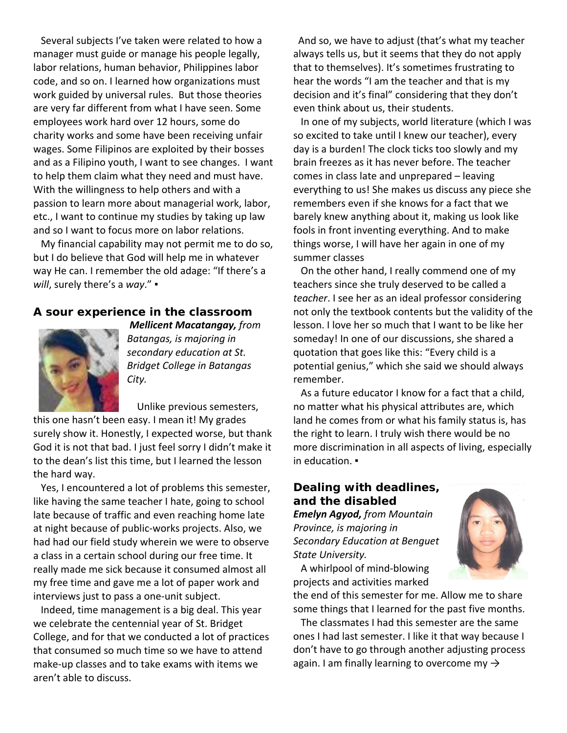Several subjects I've taken were related to how a manager must guide or manage his people legally, labor relations, human behavior, Philippines labor code, and so on. I learned how organizations must work guided by universal rules. But those theories are very far different from what I have seen. Some employees work hard over 12 hours, some do charity works and some have been receiving unfair wages. Some Filipinos are exploited by their bosses and as a Filipino youth, I want to see changes. I want to help them claim what they need and must have. With the willingness to help others and with a passion to learn more about managerial work, labor, etc., I want to continue my studies by taking up law and so I want to focus more on labor relations.

 My financial capability may not permit me to do so, but I do believe that God will help me in whatever way He can. I remember the old adage: "If there's a *will*, surely there's a *way*." ▪

### **A sour experience in the classroom**



*Mellicent Macatangay, from Batangas, is majoring in secondary education at St. Bridget College in Batangas City.*

 Unlike previous semesters, this one hasn't been easy. I mean it! My grades surely show it. Honestly, I expected worse, but thank God it is not that bad. I just feel sorry I didn't make it to the dean's list this time, but I learned the lesson the hard way.

 Yes, I encountered a lot of problems this semester, like having the same teacher I hate, going to school late because of traffic and even reaching home late at night because of public-works projects. Also, we had had our field study wherein we were to observe a class in a certain school during our free time. It really made me sick because it consumed almost all my free time and gave me a lot of paper work and interviews just to pass a one-unit subject.

 Indeed, time management is a big deal. This year we celebrate the centennial year of St. Bridget College, and for that we conducted a lot of practices that consumed so much time so we have to attend make-up classes and to take exams with items we aren't able to discuss.

 And so, we have to adjust (that's what my teacher always tells us, but it seems that they do not apply that to themselves). It's sometimes frustrating to hear the words "I am the teacher and that is my decision and it's final" considering that they don't even think about us, their students.

 In one of my subjects, world literature (which I was so excited to take until I knew our teacher), every day is a burden! The clock ticks too slowly and my brain freezes as it has never before. The teacher comes in class late and unprepared – leaving everything to us! She makes us discuss any piece she remembers even if she knows for a fact that we barely knew anything about it, making us look like fools in front inventing everything. And to make things worse, I will have her again in one of my summer classes

 On the other hand, I really commend one of my teachers since she truly deserved to be called a *teacher*. I see her as an ideal professor considering not only the textbook contents but the validity of the lesson. I love her so much that I want to be like her someday! In one of our discussions, she shared a quotation that goes like this: "Every child is a potential genius," which she said we should always remember.

 As a future educator I know for a fact that a child, no matter what his physical attributes are, which land he comes from or what his family status is, has the right to learn. I truly wish there would be no more discrimination in all aspects of living, especially in education. ▪

## **Dealing with deadlines, and the disabled**

*Emelyn Agyod, from Mountain Province, is majoring in Secondary Education at Benguet State University.*



 A whirlpool of mind-blowing projects and activities marked

the end of this semester for me. Allow me to share some things that I learned for the past five months.

 The classmates I had this semester are the same ones I had last semester. I like it that way because I don't have to go through another adjusting process again. I am finally learning to overcome my  $\rightarrow$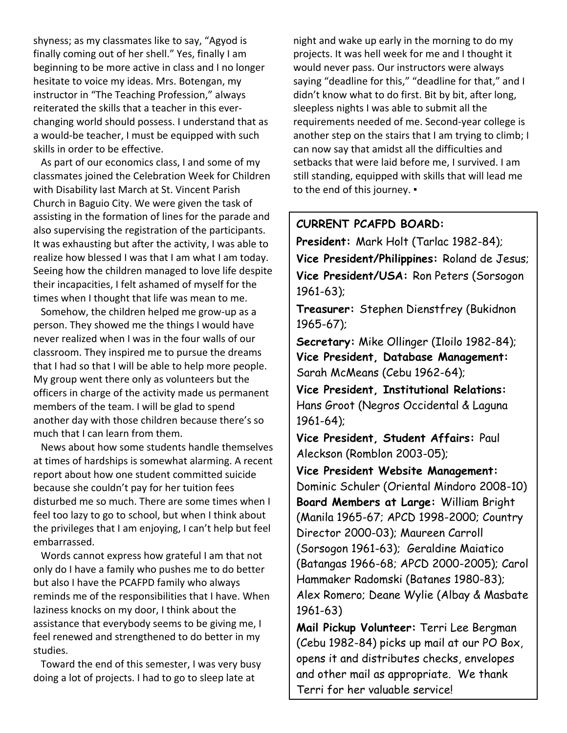shyness; as my classmates like to say, "Agyod is finally coming out of her shell." Yes, finally I am beginning to be more active in class and I no longer hesitate to voice my ideas. Mrs. Botengan, my instructor in "The Teaching Profession," always reiterated the skills that a teacher in this everchanging world should possess. I understand that as a would-be teacher, I must be equipped with such skills in order to be effective.

 As part of our economics class, I and some of my classmates joined the Celebration Week for Children with Disability last March at St. Vincent Parish Church in Baguio City. We were given the task of assisting in the formation of lines for the parade and also supervising the registration of the participants. It was exhausting but after the activity, I was able to realize how blessed I was that I am what I am today. Seeing how the children managed to love life despite their incapacities, I felt ashamed of myself for the times when I thought that life was mean to me.

 Somehow, the children helped me grow-up as a person. They showed me the things I would have never realized when I was in the four walls of our classroom. They inspired me to pursue the dreams that I had so that I will be able to help more people. My group went there only as volunteers but the officers in charge of the activity made us permanent members of the team. I will be glad to spend another day with those children because there's so much that I can learn from them.

 News about how some students handle themselves at times of hardships is somewhat alarming. A recent report about how one student committed suicide because she couldn't pay for her tuition fees disturbed me so much. There are some times when I feel too lazy to go to school, but when I think about the privileges that I am enjoying, I can't help but feel embarrassed.

 Words cannot express how grateful I am that not only do I have a family who pushes me to do better but also I have the PCAFPD family who always reminds me of the responsibilities that I have. When laziness knocks on my door, I think about the assistance that everybody seems to be giving me, I feel renewed and strengthened to do better in my studies.

 Toward the end of this semester, I was very busy doing a lot of projects. I had to go to sleep late at

night and wake up early in the morning to do my projects. It was hell week for me and I thought it would never pass. Our instructors were always saying "deadline for this," "deadline for that," and I didn't know what to do first. Bit by bit, after long, sleepless nights I was able to submit all the requirements needed of me. Second-year college is another step on the stairs that I am trying to climb; I can now say that amidst all the difficulties and setbacks that were laid before me, I survived. I am still standing, equipped with skills that will lead me to the end of this journey. •

## **CURRENT PCAFPD BOARD:**

**President:** Mark Holt (Tarlac 1982-84); **Vice President/Philippines:** Roland de Jesus; **Vice President/USA:** Ron Peters (Sorsogon 1961-63);

**Treasurer:** Stephen Dienstfrey (Bukidnon 1965-67);

**Secretary:** Mike Ollinger (Iloilo 1982-84); **Vice President, Database Management:**  Sarah McMeans (Cebu 1962-64);

**Vice President, Institutional Relations:**  Hans Groot (Negros Occidental & Laguna 1961-64);

**Vice President, Student Affairs:** Paul Aleckson (Romblon 2003-05);

**Vice President Website Management:** Dominic Schuler (Oriental Mindoro 2008-10) **Board Members at Large:** William Bright (Manila 1965-67; APCD 1998-2000; Country Director 2000-03); Maureen Carroll (Sorsogon 1961-63); Geraldine Maiatico (Batangas 1966-68; APCD 2000-2005); Carol Hammaker Radomski (Batanes 1980-83); Alex Romero; Deane Wylie (Albay & Masbate 1961-63)

**Mail Pickup Volunteer:** Terri Lee Bergman (Cebu 1982-84) picks up mail at our PO Box, opens it and distributes checks, envelopes and other mail as appropriate. We thank Terri for her valuable service!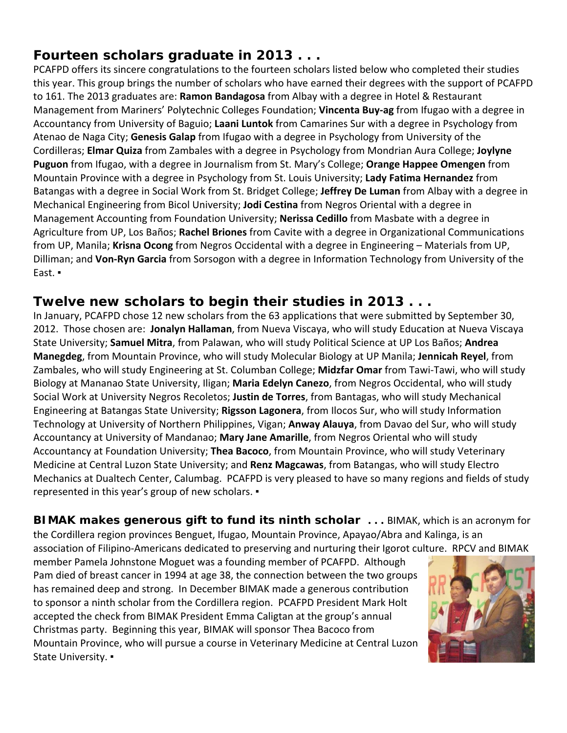# **Fourteen scholars graduate in 2013 . . .**

PCAFPD offers its sincere congratulations to the fourteen scholars listed below who completed their studies this year. This group brings the number of scholars who have earned their degrees with the support of PCAFPD to 161. The 2013 graduates are: **Ramon Bandagosa** from Albay with a degree in Hotel & Restaurant Management from Mariners' Polytechnic Colleges Foundation; **Vincenta Buy-ag** from Ifugao with a degree in Accountancy from University of Baguio; **Laani Luntok** from Camarines Sur with a degree in Psychology from Atenao de Naga City; **Genesis Galap** from Ifugao with a degree in Psychology from University of the Cordilleras; **Elmar Quiza** from Zambales with a degree in Psychology from Mondrian Aura College; **Joylyne Puguon** from Ifugao, with a degree in Journalism from St. Mary's College; **Orange Happee Omengen** from Mountain Province with a degree in Psychology from St. Louis University; **Lady Fatima Hernandez** from Batangas with a degree in Social Work from St. Bridget College; **Jeffrey De Luman** from Albay with a degree in Mechanical Engineering from Bicol University; **Jodi Cestina** from Negros Oriental with a degree in Management Accounting from Foundation University; **Nerissa Cedillo** from Masbate with a degree in Agriculture from UP, Los Baños; **Rachel Briones** from Cavite with a degree in Organizational Communications from UP, Manila; **Krisna Ocong** from Negros Occidental with a degree in Engineering – Materials from UP, Dilliman; and **Von-Ryn Garcia** from Sorsogon with a degree in Information Technology from University of the East. ▪

# **Twelve new scholars to begin their studies in 2013 . . .**

In January, PCAFPD chose 12 new scholars from the 63 applications that were submitted by September 30, 2012. Those chosen are: **Jonalyn Hallaman**, from Nueva Viscaya, who will study Education at Nueva Viscaya State University; **Samuel Mitra**, from Palawan, who will study Political Science at UP Los Baños; **Andrea Manegdeg**, from Mountain Province, who will study Molecular Biology at UP Manila; **Jennicah Reyel**, from Zambales, who will study Engineering at St. Columban College; **Midzfar Omar** from Tawi-Tawi, who will study Biology at Mananao State University, Iligan; **Maria Edelyn Canezo**, from Negros Occidental, who will study Social Work at University Negros Recoletos; **Justin de Torres**, from Bantagas, who will study Mechanical Engineering at Batangas State University; **Rigsson Lagonera**, from Ilocos Sur, who will study Information Technology at University of Northern Philippines, Vigan; **Anway Alauya**, from Davao del Sur, who will study Accountancy at University of Mandanao; **Mary Jane Amarille**, from Negros Oriental who will study Accountancy at Foundation University; **Thea Bacoco**, from Mountain Province, who will study Veterinary Medicine at Central Luzon State University; and **Renz Magcawas**, from Batangas, who will study Electro Mechanics at Dualtech Center, Calumbag. PCAFPD is very pleased to have so many regions and fields of study represented in this year's group of new scholars. ▪

**BIMAK makes generous gift to fund its ninth scholar . . .** BIMAK, which is an acronym for the Cordillera region provinces Benguet, Ifugao, Mountain Province, Apayao/Abra and Kalinga, is an association of Filipino-Americans dedicated to preserving and nurturing their Igorot culture. RPCV and BIMAK

member Pamela Johnstone Moguet was a founding member of PCAFPD. Although Pam died of breast cancer in 1994 at age 38, the connection between the two groups has remained deep and strong. In December BIMAK made a generous contribution to sponsor a ninth scholar from the Cordillera region. PCAFPD President Mark Holt accepted the check from BIMAK President Emma Caligtan at the group's annual Christmas party. Beginning this year, BIMAK will sponsor Thea Bacoco from Mountain Province, who will pursue a course in Veterinary Medicine at Central Luzon State University. ▪

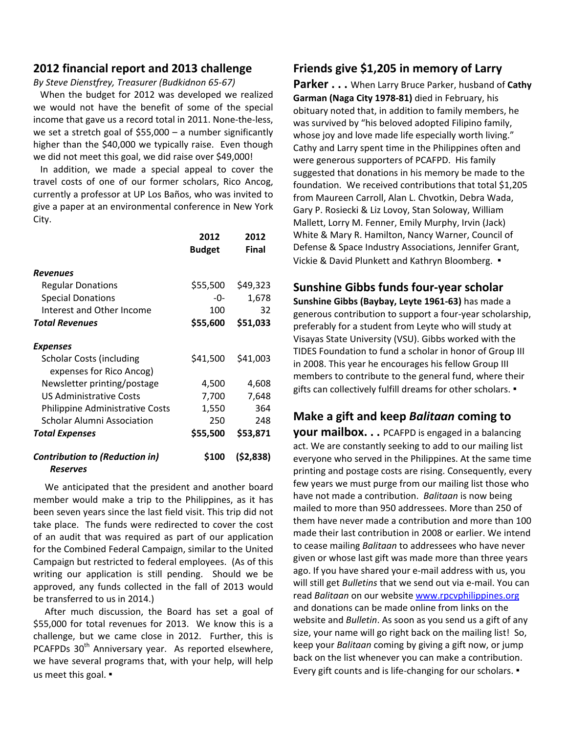### **2012 financial report and 2013 challenge**

*By Steve Dienstfrey, Treasurer (Budkidnon 65-67)*

 When the budget for 2012 was developed we realized we would not have the benefit of some of the special income that gave us a record total in 2011. None-the-less, we set a stretch goal of \$55,000 – a number significantly higher than the \$40,000 we typically raise. Even though we did not meet this goal, we did raise over \$49,000!

 In addition, we made a special appeal to cover the travel costs of one of our former scholars, Rico Ancog, currently a professor at UP Los Baños, who was invited to give a paper at an environmental conference in New York City.

|                                                             | 2012<br><b>Budget</b> | 2012<br>Final |
|-------------------------------------------------------------|-----------------------|---------------|
| Revenues                                                    |                       |               |
| <b>Regular Donations</b>                                    | \$55,500              | \$49,323      |
| <b>Special Donations</b>                                    | -0-                   | 1,678         |
| Interest and Other Income                                   | 100                   | 32            |
| <b>Total Revenues</b>                                       | \$55,600              | \$51,033      |
| Expenses                                                    |                       |               |
| <b>Scholar Costs (including</b><br>expenses for Rico Ancog) | \$41,500              | \$41,003      |
| Newsletter printing/postage                                 | 4,500                 | 4,608         |
| <b>US Administrative Costs</b>                              | 7,700                 | 7,648         |
| Philippine Administrative Costs                             | 1,550                 | 364           |
| <b>Scholar Alumni Association</b>                           | 250                   | 248           |
| Total Expenses                                              | \$55,500              | \$53,871      |
| <b>Contribution to (Reduction in)</b><br>Reserves           | \$100                 | (52, 838)     |

 We anticipated that the president and another board member would make a trip to the Philippines, as it has been seven years since the last field visit. This trip did not take place. The funds were redirected to cover the cost of an audit that was required as part of our application for the Combined Federal Campaign, similar to the United Campaign but restricted to federal employees. (As of this writing our application is still pending. Should we be approved, any funds collected in the fall of 2013 would be transferred to us in 2014.)

 After much discussion, the Board has set a goal of \$55,000 for total revenues for 2013. We know this is a challenge, but we came close in 2012. Further, this is PCAFPDs  $30<sup>th</sup>$  Anniversary year. As reported elsewhere, we have several programs that, with your help, will help us meet this goal. ▪

### **Friends give \$1,205 in memory of Larry**

**Parker . . .** When Larry Bruce Parker, husband of **Cathy Garman (Naga City 1978-81)** died in February, his obituary noted that, in addition to family members, he was survived by "his beloved adopted Filipino family, whose joy and love made life especially worth living." Cathy and Larry spent time in the Philippines often and were generous supporters of PCAFPD. His family suggested that donations in his memory be made to the foundation. We received contributions that total \$1,205 from Maureen Carroll, Alan L. Chvotkin, Debra Wada, Gary P. Rosiecki & Liz Lovoy, Stan Soloway, William Mallett, Lorry M. Fenner, Emily Murphy, Irvin (Jack) White & Mary R. Hamilton, Nancy Warner, Council of Defense & Space Industry Associations, Jennifer Grant, Vickie & David Plunkett and Kathryn Bloomberg. ▪

### **Sunshine Gibbs funds four-year scholar**

**Sunshine Gibbs (Baybay, Leyte 1961-63)** has made a generous contribution to support a four-year scholarship, preferably for a student from Leyte who will study at Visayas State University (VSU). Gibbs worked with the TIDES Foundation to fund a scholar in honor of Group III in 2008. This year he encourages his fellow Group III members to contribute to the general fund, where their gifts can collectively fulfill dreams for other scholars. ▪

### **Make a gift and keep** *Balitaan* **coming to**

**your mailbox. . .** PCAFPD is engaged in a balancing act. We are constantly seeking to add to our mailing list everyone who served in the Philippines. At the same time printing and postage costs are rising. Consequently, every few years we must purge from our mailing list those who have not made a contribution. *Balitaan* is now being mailed to more than 950 addressees. More than 250 of them have never made a contribution and more than 100 made their last contribution in 2008 or earlier. We intend to cease mailing *Balitaan* to addressees who have never given or whose last gift was made more than three years ago. If you have shared your e-mail address with us, you will still get *Bulletins* that we send out via e-mail. You can read *Balitaan* on our website [www.rpcvphilippines.org](http://www.rpcvphilippines.org/) and donations can be made online from links on the website and *Bulletin*. As soon as you send us a gift of any size, your name will go right back on the mailing list! So, keep your *Balitaan* coming by giving a gift now, or jump back on the list whenever you can make a contribution. Every gift counts and is life-changing for our scholars. ▪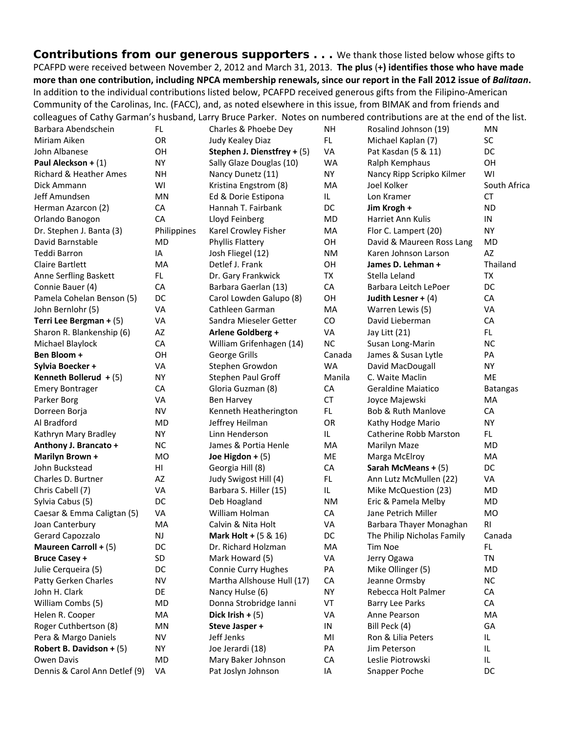**Contributions from our generous supporters . . .** We thank those listed below whose gifts to PCAFPD were received between November 2, 2012 and March 31, 2013. **The plus** (**+) identifies those who have made more than one contribution, including NPCA membership renewals, since our report in the Fall 2012 issue of** *Balitaan***.** In addition to the individual contributions listed below, PCAFPD received generous gifts from the Filipino-American Community of the Carolinas, Inc. (FACC), and, as noted elsewhere in this issue, from BIMAK and from friends and colleagues of Cathy Garman's husband, Larry Bruce Parker. Notes on numbered contributions are at the end of the list.

| Barbara Abendschein           | FL          | Charles & Phoebe Dey            | <b>NH</b> | Rosalind Johnson (19)         | MN              |
|-------------------------------|-------------|---------------------------------|-----------|-------------------------------|-----------------|
| Miriam Aiken                  | OR          | Judy Kealey Diaz                | FL.       | Michael Kaplan (7)            | SC              |
| John Albanese                 | OH          | Stephen J. Dienstfrey + (5)     | VA        | Pat Kasdan (5 & 11)           | DC              |
| Paul Aleckson + (1)           | NY.         | Sally Glaze Douglas (10)        | <b>WA</b> | Ralph Kemphaus                | OH              |
| Richard & Heather Ames        | NΗ          | Nancy Dunetz (11)               | <b>NY</b> | Nancy Ripp Scripko Kilmer     | WI              |
| Dick Ammann                   | WI          | Kristina Engstrom (8)           | MA        | Joel Kolker                   | South Africa    |
| Jeff Amundsen                 | MN          | Ed & Dorie Estipona             | IL.       | Lon Kramer                    | <b>CT</b>       |
| Herman Azarcon (2)            | CA          | Hannah T. Fairbank              | DC        | Jim Krogh +                   | <b>ND</b>       |
| Orlando Banogon               | CA          | Lloyd Feinberg                  | MD        | Harriet Ann Kulis             | IN              |
| Dr. Stephen J. Banta (3)      | Philippines | Karel Crowley Fisher            | MA        | Flor C. Lampert (20)          | <b>NY</b>       |
| David Barnstable              | MD          | Phyllis Flattery                | OH        | David & Maureen Ross Lang     | <b>MD</b>       |
| Teddi Barron                  | IA          | Josh Fliegel (12)               | <b>NM</b> | Karen Johnson Larson          | AZ              |
| <b>Claire Bartlett</b>        | MA          | Detlef J. Frank                 | OH        | James D. Lehman +             | Thailand        |
| Anne Serfling Baskett         | FL.         | Dr. Gary Frankwick              | TX        | Stella Leland                 | TX              |
| Connie Bauer (4)              | CA          | Barbara Gaerlan (13)            | CA        | Barbara Leitch LePoer         | DC              |
| Pamela Cohelan Benson (5)     | DC          | Carol Lowden Galupo (8)         | OH        | Judith Lesner + $(4)$         | CA              |
| John Bernlohr (5)             | VA          | Cathleen Garman                 | MA        | Warren Lewis (5)              | VA              |
| Terri Lee Bergman + (5)       | VA          | Sandra Mieseler Getter          | CO        | David Lieberman               | CA              |
| Sharon R. Blankenship (6)     | AZ          | <b>Arlene Goldberg +</b>        | VA        | Jay Litt (21)                 | FL.             |
| Michael Blaylock              | CA          | William Grifenhagen (14)        | <b>NC</b> | Susan Long-Marin              | <b>NC</b>       |
| Ben Bloom +                   | OH          | George Grills                   | Canada    | James & Susan Lytle           | PA              |
| Sylvia Boecker +              | VA          | Stephen Growdon                 | <b>WA</b> | David MacDougall              | <b>NY</b>       |
| Kenneth Bollerud $+$ (5)      | ΝY          | Stephen Paul Groff              | Manila    | C. Waite Maclin               | ME              |
| <b>Emery Bontrager</b>        | CA          | Gloria Guzman (8)               | CA        | <b>Geraldine Majatico</b>     | <b>Batangas</b> |
| Parker Borg                   | VA          | Ben Harvey                      | <b>CT</b> | Joyce Majewski                | MA              |
| Dorreen Borja                 | NV          | Kenneth Heatherington           | FL.       | <b>Bob &amp; Ruth Manlove</b> | CA              |
| Al Bradford                   | MD          | Jeffrey Heilman                 | OR        | Kathy Hodge Mario             | <b>NY</b>       |
| Kathryn Mary Bradley          | <b>NY</b>   | Linn Henderson                  | IL.       | Catherine Robb Marston        | FL.             |
| Anthony J. Brancato +         | <b>NC</b>   | James & Portia Henle            | MA        | Marilyn Maze                  | MD              |
| Marilyn Brown +               | <b>MO</b>   | Joe Higdon + $(5)$              | ME        | Marga McElroy                 | MA              |
| John Buckstead                | HI          | Georgia Hill (8)                | CA        | Sarah McMeans + (5)           | DC              |
| Charles D. Burtner            | AZ          | Judy Swigost Hill (4)           | FL.       | Ann Lutz McMullen (22)        | VA              |
| Chris Cabell (7)              | VA          | Barbara S. Hiller (15)          | IL        | Mike McQuestion (23)          | MD              |
| Sylvia Cabus (5)              | DC          | Deb Hoagland                    | <b>NM</b> | Eric & Pamela Melby           | MD              |
| Caesar & Emma Caligtan (5)    | VA          | William Holman                  | CA        | Jane Petrich Miller           | MO              |
| Joan Canterbury               | MA          | Calvin & Nita Holt              | VA        | Barbara Thayer Monaghan       | RI              |
| Gerard Capozzalo              | <b>NJ</b>   | <b>Mark Holt + (5 &amp; 16)</b> | DC        | The Philip Nicholas Family    | Canada          |
| Maureen Carroll + (5)         | DC          | Dr. Richard Holzman             | MA        | Tim Noe                       | FL.             |
| <b>Bruce Casey +</b>          | SD          | Mark Howard (5)                 | VA        | Jerry Ogawa                   | TN              |
| Julie Cerqueira (5)           | DC          | <b>Connie Curry Hughes</b>      | PA        | Mike Ollinger (5)             | MD              |
| Patty Gerken Charles          | <b>NV</b>   | Martha Allshouse Hull (17)      | CA        | Jeanne Ormsby                 | <b>NC</b>       |
| John H. Clark                 | DE          | Nancy Hulse (6)                 | <b>NY</b> | Rebecca Holt Palmer           | CA              |
| William Combs (5)             | <b>MD</b>   | Donna Strobridge Ianni          | VT        | <b>Barry Lee Parks</b>        | CA              |
| Helen R. Cooper               | MA          | Dick Irish $+$ (5)              | VA        | Anne Pearson                  | MA              |
| Roger Cuthbertson (8)         | MN          | Steve Jasper +                  | IN        | Bill Peck (4)                 | GA              |
| Pera & Margo Daniels          | <b>NV</b>   | Jeff Jenks                      | MI        | Ron & Lilia Peters            | IL              |
| Robert B. Davidson + $(5)$    | ΝY          | Joe Jerardi (18)                | PA        | Jim Peterson                  | IL              |
| Owen Davis                    | MD          | Mary Baker Johnson              | CA        | Leslie Piotrowski             | IL              |
| Dennis & Carol Ann Detlef (9) | VA          | Pat Joslyn Johnson              | IA        | Snapper Poche                 | DC              |